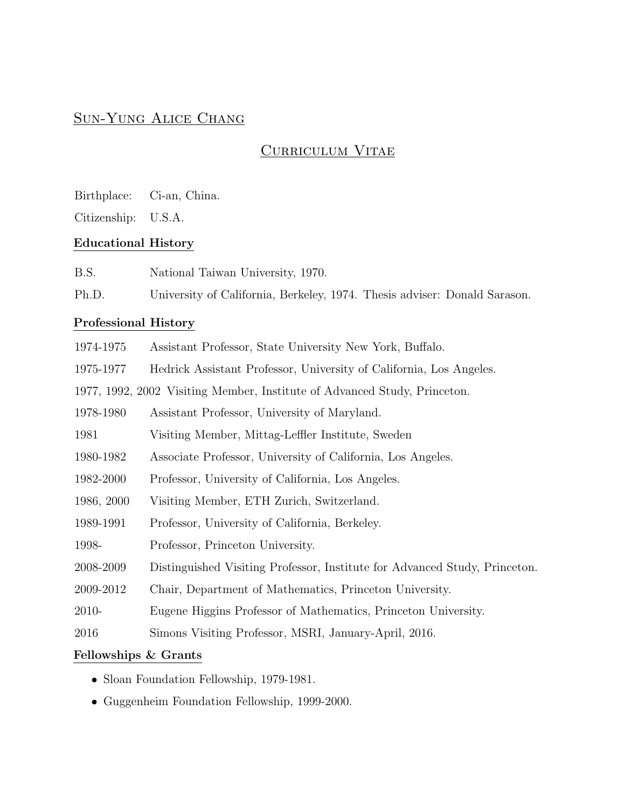# Sun-Yung Alice Chang

# CURRICULUM VITAE

Birthplace: Ci-an, China.

Citizenship: U.S.A.

### Educational History

Ph.D. University of California, Berkeley, 1974. Thesis adviser: Donald Sarason.

## Professional History

| 1974-1975  | Assistant Professor, State University New York, Buffalo.                   |
|------------|----------------------------------------------------------------------------|
| 1975-1977  | Hedrick Assistant Professor, University of California, Los Angeles.        |
|            | 1977, 1992, 2002 Visiting Member, Institute of Advanced Study, Princeton.  |
| 1978-1980  | Assistant Professor, University of Maryland.                               |
| 1981       | Visiting Member, Mittag-Leffler Institute, Sweden                          |
| 1980-1982  | Associate Professor, University of California, Los Angeles.                |
| 1982-2000  | Professor, University of California, Los Angeles.                          |
| 1986, 2000 | Visiting Member, ETH Zurich, Switzerland.                                  |
| 1989-1991  | Professor, University of California, Berkeley.                             |
| 1998-      | Professor, Princeton University.                                           |
| 2008-2009  | Distinguished Visiting Professor, Institute for Advanced Study, Princeton. |
| 2009-2012  | Chair, Department of Mathematics, Princeton University.                    |
| 2010-      | Eugene Higgins Professor of Mathematics, Princeton University.             |
| 2016       | Simons Visiting Professor, MSRI, January-April, 2016.                      |

## Fellowships & Grants

- Sloan Foundation Fellowship, 1979-1981.
- Guggenheim Foundation Fellowship, 1999-2000.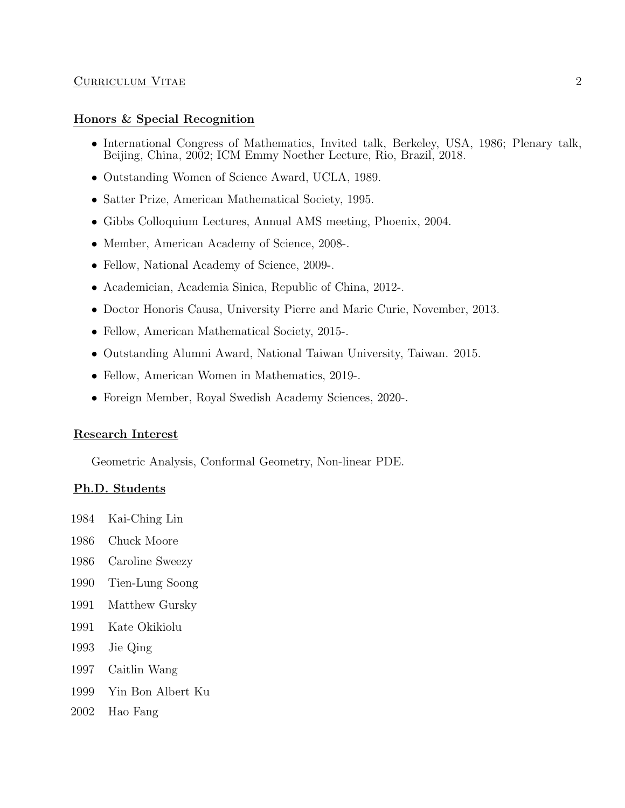#### CURRICULUM VITAE 2

#### Honors & Special Recognition

- International Congress of Mathematics, Invited talk, Berkeley, USA, 1986; Plenary talk, Beijing, China, 2002; ICM Emmy Noether Lecture, Rio, Brazil, 2018.
- Outstanding Women of Science Award, UCLA, 1989.
- Satter Prize, American Mathematical Society, 1995.
- Gibbs Colloquium Lectures, Annual AMS meeting, Phoenix, 2004.
- Member, American Academy of Science, 2008-.
- Fellow, National Academy of Science, 2009-.
- Academician, Academia Sinica, Republic of China, 2012-.
- Doctor Honoris Causa, University Pierre and Marie Curie, November, 2013.
- Fellow, American Mathematical Society, 2015-.
- Outstanding Alumni Award, National Taiwan University, Taiwan. 2015.
- Fellow, American Women in Mathematics, 2019-.
- Foreign Member, Royal Swedish Academy Sciences, 2020-.

#### Research Interest

Geometric Analysis, Conformal Geometry, Non-linear PDE.

#### Ph.D. Students

- 1984 Kai-Ching Lin
- 1986 Chuck Moore
- 1986 Caroline Sweezy
- 1990 Tien-Lung Soong
- 1991 Matthew Gursky
- 1991 Kate Okikiolu
- 1993 Jie Qing
- 1997 Caitlin Wang
- 1999 Yin Bon Albert Ku
- 2002 Hao Fang